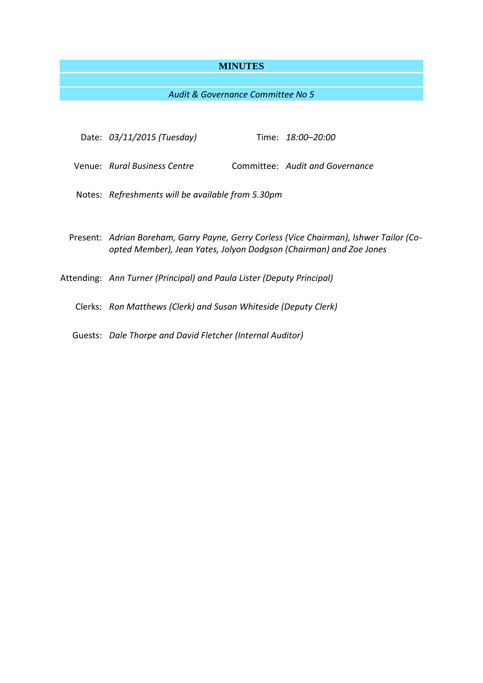# **MINUTES**

# *Audit & Governance Committee No 5*

| Date: 03/11/2015 (Tuesday)                                                                                                                                    |  | Time: 18:00–20:00               |
|---------------------------------------------------------------------------------------------------------------------------------------------------------------|--|---------------------------------|
| Venue: Rural Business Centre                                                                                                                                  |  | Committee: Audit and Governance |
| Notes: Refreshments will be available from 5.30pm                                                                                                             |  |                                 |
| Present: Adrian Boreham, Garry Payne, Gerry Corless (Vice Chairman), Ishwer Tailor (Co-<br>opted Member), Jean Yates, Jolyon Dodgson (Chairman) and Zoe Jones |  |                                 |
| Attending: Ann Turner (Principal) and Paula Lister (Deputy Principal)                                                                                         |  |                                 |
| Clerks: Ron Matthews (Clerk) and Susan Whiteside (Deputy Clerk)                                                                                               |  |                                 |
| Guests: Dale Thorpe and David Fletcher (Internal Auditor)                                                                                                     |  |                                 |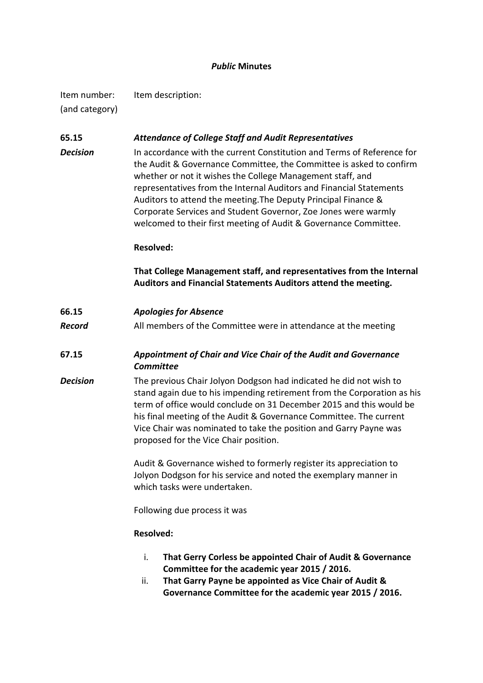## *Public* **Minutes**

Item number: Item description: (and category)

## **65.15** *Attendance of College Staff and Audit Representatives*

**Decision** In accordance with the current Constitution and Terms of Reference for the Audit & Governance Committee, the Committee is asked to confirm whether or not it wishes the College Management staff, and representatives from the Internal Auditors and Financial Statements Auditors to attend the meeting.The Deputy Principal Finance & Corporate Services and Student Governor, Zoe Jones were warmly welcomed to their first meeting of Audit & Governance Committee.

#### **Resolved:**

**That College Management staff, and representatives from the Internal Auditors and Financial Statements Auditors attend the meeting.**

- **66.15** *Apologies for Absence*
- **Record** All members of the Committee were in attendance at the meeting
- **67.15** *Appointment of Chair and Vice Chair of the Audit and Governance Committee*
- *Decision* The previous Chair Jolyon Dodgson had indicated he did not wish to stand again due to his impending retirement from the Corporation as his term of office would conclude on 31 December 2015 and this would be his final meeting of the Audit & Governance Committee. The current Vice Chair was nominated to take the position and Garry Payne was proposed for the Vice Chair position.

Audit & Governance wished to formerly register its appreciation to Jolyon Dodgson for his service and noted the exemplary manner in which tasks were undertaken.

Following due process it was

### **Resolved:**

- i. **That Gerry Corless be appointed Chair of Audit & Governance Committee for the academic year 2015 / 2016.**
- ii. **That Garry Payne be appointed as Vice Chair of Audit & Governance Committee for the academic year 2015 / 2016.**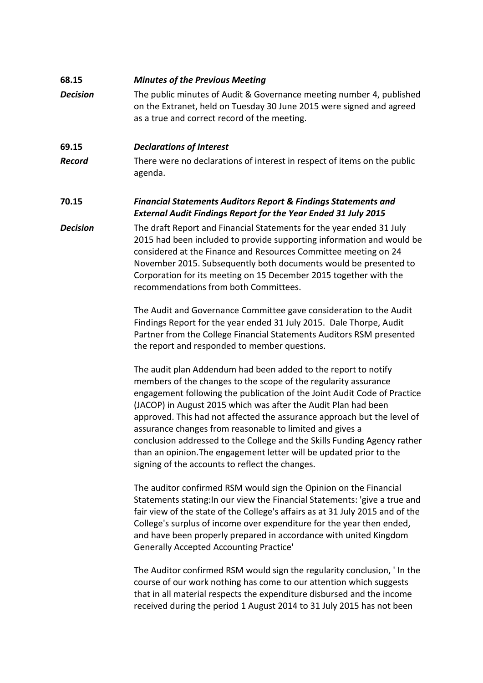# **68.15** *Minutes of the Previous Meeting*

*Decision* The public minutes of Audit & Governance meeting number 4, published on the Extranet, held on Tuesday 30 June 2015 were signed and agreed as a true and correct record of the meeting.

## **69.15** *Declarations of Interest*

**Record** There were no declarations of interest in respect of items on the public agenda.

# **70.15** *Financial Statements Auditors Report & Findings Statements and External Audit Findings Report for the Year Ended 31 July 2015*

# *Decision* The draft Report and Financial Statements for the year ended 31 July 2015 had been included to provide supporting information and would be considered at the Finance and Resources Committee meeting on 24 November 2015. Subsequently both documents would be presented to Corporation for its meeting on 15 December 2015 together with the recommendations from both Committees.

The Audit and Governance Committee gave consideration to the Audit Findings Report for the year ended 31 July 2015. Dale Thorpe, Audit Partner from the College Financial Statements Auditors RSM presented the report and responded to member questions.

The audit plan Addendum had been added to the report to notify members of the changes to the scope of the regularity assurance engagement following the publication of the Joint Audit Code of Practice (JACOP) in August 2015 which was after the Audit Plan had been approved. This had not affected the assurance approach but the level of assurance changes from reasonable to limited and gives a conclusion addressed to the College and the Skills Funding Agency rather than an opinion.The engagement letter will be updated prior to the signing of the accounts to reflect the changes.

The auditor confirmed RSM would sign the Opinion on the Financial Statements stating:In our view the Financial Statements: 'give a true and fair view of the state of the College's affairs as at 31 July 2015 and of the College's surplus of income over expenditure for the year then ended, and have been properly prepared in accordance with united Kingdom Generally Accepted Accounting Practice'

The Auditor confirmed RSM would sign the regularity conclusion, ' In the course of our work nothing has come to our attention which suggests that in all material respects the expenditure disbursed and the income received during the period 1 August 2014 to 31 July 2015 has not been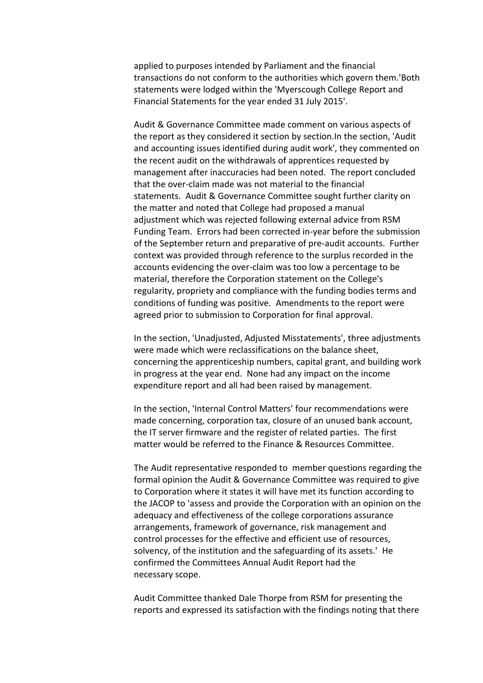applied to purposes intended by Parliament and the financial transactions do not conform to the authorities which govern them.'Both statements were lodged within the 'Myerscough College Report and Financial Statements for the year ended 31 July 2015'.

Audit & Governance Committee made comment on various aspects of the report as they considered it section by section.In the section, 'Audit and accounting issues identified during audit work', they commented on the recent audit on the withdrawals of apprentices requested by management after inaccuracies had been noted. The report concluded that the over-claim made was not material to the financial statements. Audit & Governance Committee sought further clarity on the matter and noted that College had proposed a manual adjustment which was rejected following external advice from RSM Funding Team. Errors had been corrected in-year before the submission of the September return and preparative of pre-audit accounts. Further context was provided through reference to the surplus recorded in the accounts evidencing the over-claim was too low a percentage to be material, therefore the Corporation statement on the College's regularity, propriety and compliance with the funding bodies terms and conditions of funding was positive. Amendments to the report were agreed prior to submission to Corporation for final approval.

In the section, 'Unadjusted, Adjusted Misstatements', three adjustments were made which were reclassifications on the balance sheet, concerning the apprenticeship numbers, capital grant, and building work in progress at the year end. None had any impact on the income expenditure report and all had been raised by management.

In the section, 'Internal Control Matters' four recommendations were made concerning, corporation tax, closure of an unused bank account, the IT server firmware and the register of related parties. The first matter would be referred to the Finance & Resources Committee.

The Audit representative responded to member questions regarding the formal opinion the Audit & Governance Committee was required to give to Corporation where it states it will have met its function according to the JACOP to 'assess and provide the Corporation with an opinion on the adequacy and effectiveness of the college corporations assurance arrangements, framework of governance, risk management and control processes for the effective and efficient use of resources, solvency, of the institution and the safeguarding of its assets.' He confirmed the Committees Annual Audit Report had the necessary scope.

Audit Committee thanked Dale Thorpe from RSM for presenting the reports and expressed its satisfaction with the findings noting that there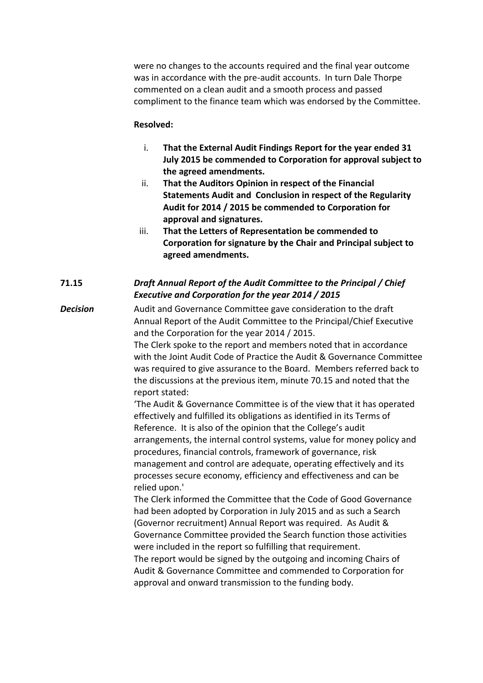were no changes to the accounts required and the final year outcome was in accordance with the pre-audit accounts. In turn Dale Thorpe commented on a clean audit and a smooth process and passed compliment to the finance team which was endorsed by the Committee.

### **Resolved:**

- i. **That the External Audit Findings Report for the year ended 31 July 2015 be commended to Corporation for approval subject to the agreed amendments.**
- ii. **That the Auditors Opinion in respect of the Financial Statements Audit and Conclusion in respect of the Regularity Audit for 2014 / 2015 be commended to Corporation for approval and signatures.**
- iii. **That the Letters of Representation be commended to Corporation for signature by the Chair and Principal subject to agreed amendments.**

# **71.15** *Draft Annual Report of the Audit Committee to the Principal / Chief Executive and Corporation for the year 2014 / 2015*

**Decision** Audit and Governance Committee gave consideration to the draft Annual Report of the Audit Committee to the Principal/Chief Executive and the Corporation for the year 2014 / 2015.

> The Clerk spoke to the report and members noted that in accordance with the Joint Audit Code of Practice the Audit & Governance Committee was required to give assurance to the Board. Members referred back to the discussions at the previous item, minute 70.15 and noted that the report stated:

'The Audit & Governance Committee is of the view that it has operated effectively and fulfilled its obligations as identified in its Terms of Reference. It is also of the opinion that the College's audit arrangements, the internal control systems, value for money policy and procedures, financial controls, framework of governance, risk management and control are adequate, operating effectively and its processes secure economy, efficiency and effectiveness and can be relied upon.'

The Clerk informed the Committee that the Code of Good Governance had been adopted by Corporation in July 2015 and as such a Search (Governor recruitment) Annual Report was required. As Audit & Governance Committee provided the Search function those activities were included in the report so fulfilling that requirement.

The report would be signed by the outgoing and incoming Chairs of Audit & Governance Committee and commended to Corporation for approval and onward transmission to the funding body.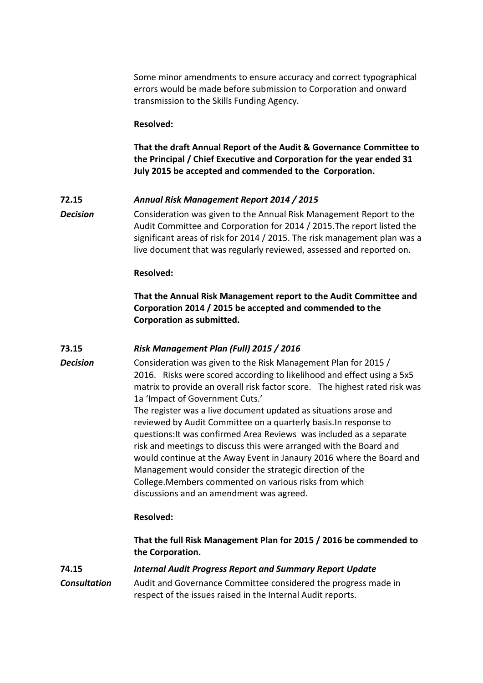Some minor amendments to ensure accuracy and correct typographical errors would be made before submission to Corporation and onward transmission to the Skills Funding Agency.

#### **Resolved:**

**That the draft Annual Report of the Audit & Governance Committee to the Principal / Chief Executive and Corporation for the year ended 31 July 2015 be accepted and commended to the Corporation.**

## **72.15** *Annual Risk Management Report 2014 / 2015*

**Decision** Consideration was given to the Annual Risk Management Report to the Audit Committee and Corporation for 2014 / 2015.The report listed the significant areas of risk for 2014 / 2015. The risk management plan was a live document that was regularly reviewed, assessed and reported on.

#### **Resolved:**

**That the Annual Risk Management report to the Audit Committee and Corporation 2014 / 2015 be accepted and commended to the Corporation as submitted.**

# **73.15** *Risk Management Plan (Full) 2015 / 2016*

**Decision** Consideration was given to the Risk Management Plan for 2015 / 2016. Risks were scored according to likelihood and effect using a 5x5 matrix to provide an overall risk factor score. The highest rated risk was 1a 'Impact of Government Cuts.'

> The register was a live document updated as situations arose and reviewed by Audit Committee on a quarterly basis.In response to questions:It was confirmed Area Reviews was included as a separate risk and meetings to discuss this were arranged with the Board and would continue at the Away Event in Janaury 2016 where the Board and Management would consider the strategic direction of the College.Members commented on various risks from which discussions and an amendment was agreed.

#### **Resolved:**

**That the full Risk Management Plan for 2015 / 2016 be commended to the Corporation.**

# **74.15** *Internal Audit Progress Report and Summary Report Update Consultation* Audit and Governance Committee considered the progress made in respect of the issues raised in the Internal Audit reports.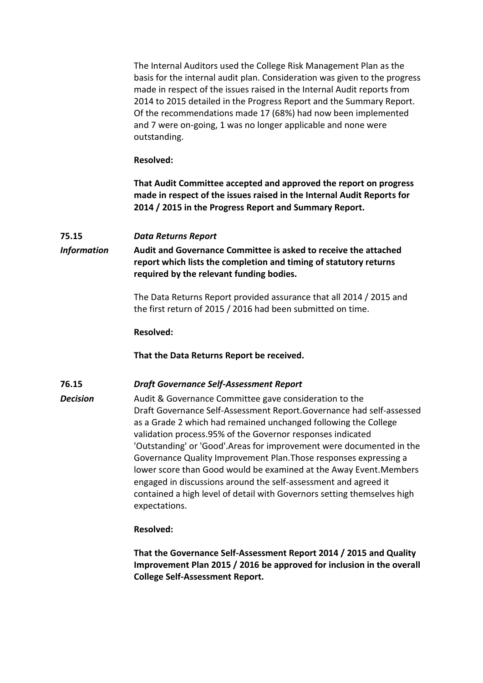The Internal Auditors used the College Risk Management Plan as the basis for the internal audit plan. Consideration was given to the progress made in respect of the issues raised in the Internal Audit reports from 2014 to 2015 detailed in the Progress Report and the Summary Report. Of the recommendations made 17 (68%) had now been implemented and 7 were on-going, 1 was no longer applicable and none were outstanding.

#### **Resolved:**

**That Audit Committee accepted and approved the report on progress made in respect of the issues raised in the Internal Audit Reports for 2014 / 2015 in the Progress Report and Summary Report.**

## **75.15** *Data Returns Report*

*Information* **Audit and Governance Committee is asked to receive the attached report which lists the completion and timing of statutory returns required by the relevant funding bodies.**

> The Data Returns Report provided assurance that all 2014 / 2015 and the first return of 2015 / 2016 had been submitted on time.

#### **Resolved:**

**That the Data Returns Report be received.**

## **76.15** *Draft Governance Self-Assessment Report*

**Decision** Audit & Governance Committee gave consideration to the Draft Governance Self-Assessment Report.Governance had self-assessed as a Grade 2 which had remained unchanged following the College validation process.95% of the Governor responses indicated 'Outstanding' or 'Good'.Areas for improvement were documented in the Governance Quality Improvement Plan.Those responses expressing a lower score than Good would be examined at the Away Event.Members engaged in discussions around the self-assessment and agreed it contained a high level of detail with Governors setting themselves high expectations.

## **Resolved:**

**That the Governance Self-Assessment Report 2014 / 2015 and Quality Improvement Plan 2015 / 2016 be approved for inclusion in the overall College Self-Assessment Report.**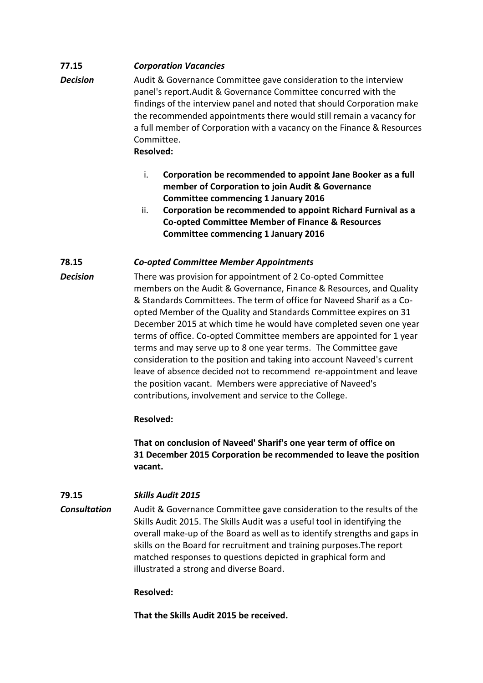# **77.15** *Corporation Vacancies*

- **Decision** Audit & Governance Committee gave consideration to the interview panel's report.Audit & Governance Committee concurred with the findings of the interview panel and noted that should Corporation make the recommended appointments there would still remain a vacancy for a full member of Corporation with a vacancy on the Finance & Resources Committee. **Resolved:**
	- i. **Corporation be recommended to appoint Jane Booker as a full member of Corporation to join Audit & Governance Committee commencing 1 January 2016**
	- ii. **Corporation be recommended to appoint Richard Furnival as a Co-opted Committee Member of Finance & Resources Committee commencing 1 January 2016**

## **78.15** *Co-opted Committee Member Appointments*

*Decision* There was provision for appointment of 2 Co-opted Committee members on the Audit & Governance, Finance & Resources, and Quality & Standards Committees. The term of office for Naveed Sharif as a Coopted Member of the Quality and Standards Committee expires on 31 December 2015 at which time he would have completed seven one year terms of office. Co-opted Committee members are appointed for 1 year terms and may serve up to 8 one year terms. The Committee gave consideration to the position and taking into account Naveed's current leave of absence decided not to recommend re-appointment and leave the position vacant. Members were appreciative of Naveed's contributions, involvement and service to the College.

# **Resolved:**

**That on conclusion of Naveed' Sharif's one year term of office on 31 December 2015 Corporation be recommended to leave the position vacant.**

# **79.15** *Skills Audit 2015*

*Consultation* Audit & Governance Committee gave consideration to the results of the Skills Audit 2015. The Skills Audit was a useful tool in identifying the overall make-up of the Board as well as to identify strengths and gaps in skills on the Board for recruitment and training purposes.The report matched responses to questions depicted in graphical form and illustrated a strong and diverse Board.

## **Resolved:**

**That the Skills Audit 2015 be received.**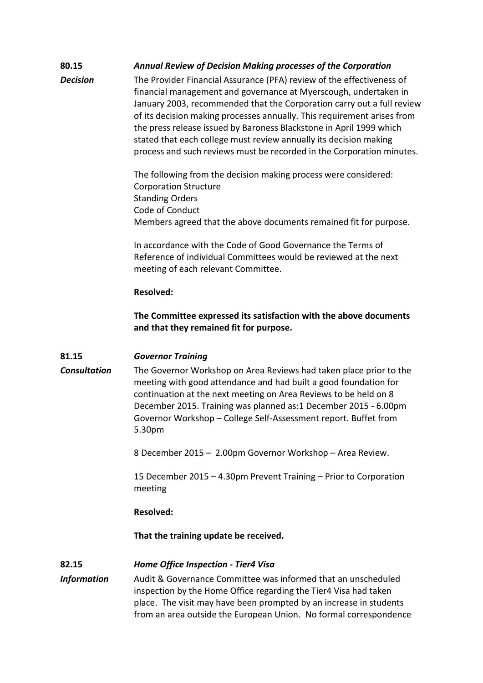# **80.15** *Annual Review of Decision Making processes of the Corporation*

**Decision** The Provider Financial Assurance (PFA) review of the effectiveness of financial management and governance at Myerscough, undertaken in January 2003, recommended that the Corporation carry out a full review of its decision making processes annually. This requirement arises from the press release issued by Baroness Blackstone in April 1999 which stated that each college must review annually its decision making process and such reviews must be recorded in the Corporation minutes.

> The following from the decision making process were considered: Corporation Structure Standing Orders Code of Conduct Members agreed that the above documents remained fit for purpose.

In accordance with the Code of Good Governance the Terms of Reference of individual Committees would be reviewed at the next meeting of each relevant Committee.

#### **Resolved:**

**The Committee expressed its satisfaction with the above documents and that they remained fit for purpose.**

## **81.15** *Governor Training*

*Consultation* The Governor Workshop on Area Reviews had taken place prior to the

meeting with good attendance and had built a good foundation for continuation at the next meeting on Area Reviews to be held on 8 December 2015. Training was planned as:1 December 2015 - 6.00pm Governor Workshop – College Self-Assessment report. Buffet from 5.30pm

8 December 2015 – 2.00pm Governor Workshop – Area Review.

15 December 2015 – 4.30pm Prevent Training – Prior to Corporation meeting

## **Resolved:**

**That the training update be received.**

## **82.15** *Home Office Inspection - Tier4 Visa*

*Information* Audit & Governance Committee was informed that an unscheduled inspection by the Home Office regarding the Tier4 Visa had taken place. The visit may have been prompted by an increase in students from an area outside the European Union. No formal correspondence